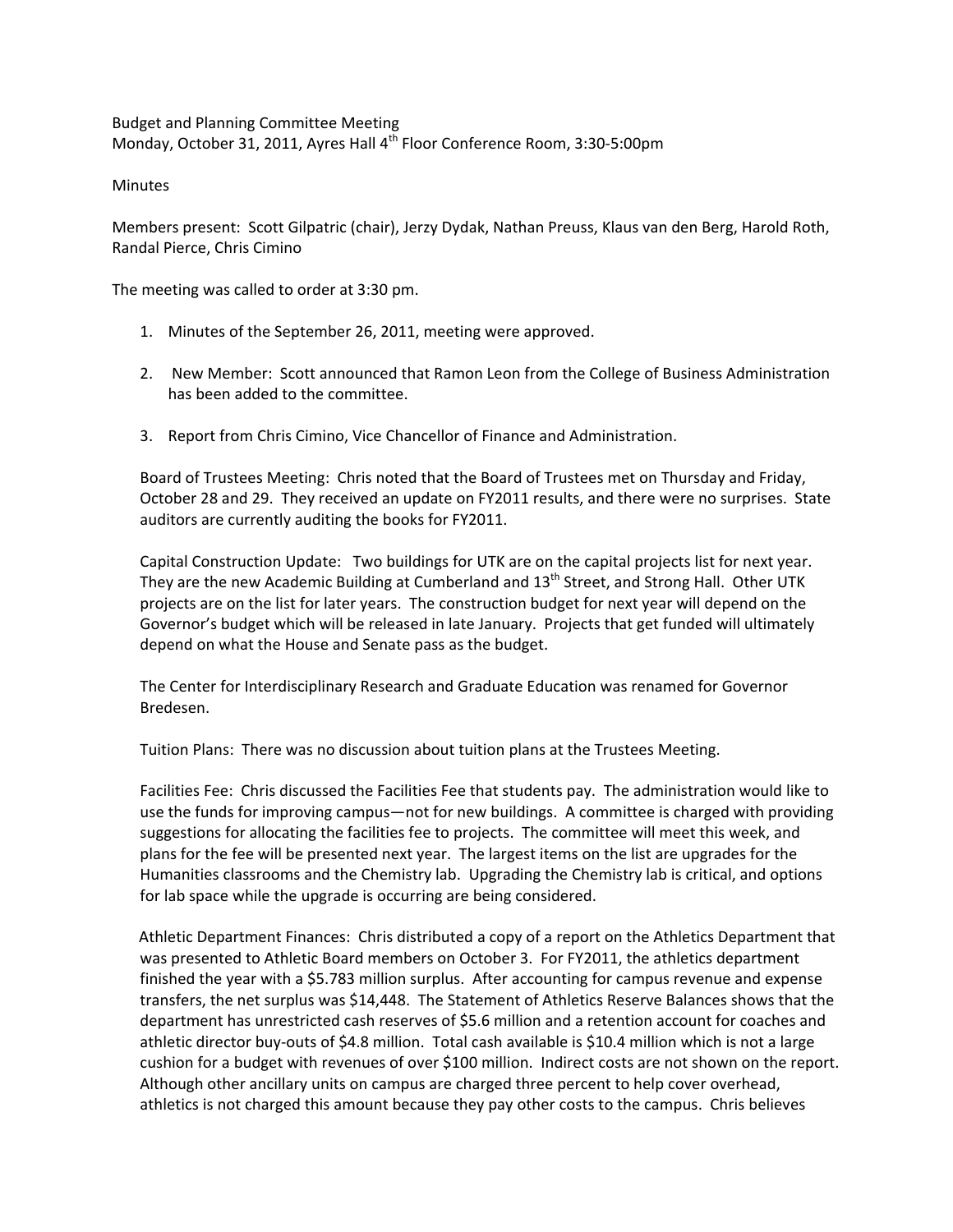Budget and Planning Committee Meeting Monday, October 31, 2011, Ayres Hall 4<sup>th</sup> Floor Conference Room, 3:30-5:00pm

Minutes

Members present: Scott Gilpatric (chair), Jerzy Dydak, Nathan Preuss, Klaus van den Berg, Harold Roth, Randal Pierce, Chris Cimino

The meeting was called to order at 3:30 pm.

- 1. Minutes of the September 26, 2011, meeting were approved.
- 2. New Member: Scott announced that Ramon Leon from the College of Business Administration has been added to the committee.
- 3. Report from Chris Cimino, Vice Chancellor of Finance and Administration.

Board of Trustees Meeting: Chris noted that the Board of Trustees met on Thursday and Friday, October 28 and 29. They received an update on FY2011 results, and there were no surprises. State auditors are currently auditing the books for FY2011.

Capital Construction Update: Two buildings for UTK are on the capital projects list for next year. They are the new Academic Building at Cumberland and  $13<sup>th</sup>$  Street, and Strong Hall. Other UTK projects are on the list for later years. The construction budget for next year will depend on the Governor's budget which will be released in late January. Projects that get funded will ultimately depend on what the House and Senate pass as the budget.

The Center for Interdisciplinary Research and Graduate Education was renamed for Governor Bredesen.

Tuition Plans: There was no discussion about tuition plans at the Trustees Meeting.

Facilities Fee: Chris discussed the Facilities Fee that students pay. The administration would like to use the funds for improving campus—not for new buildings. A committee is charged with providing suggestions for allocating the facilities fee to projects. The committee will meet this week, and plans for the fee will be presented next year. The largest items on the list are upgrades for the Humanities classrooms and the Chemistry lab. Upgrading the Chemistry lab is critical, and options for lab space while the upgrade is occurring are being considered.

 Athletic Department Finances: Chris distributed a copy of a report on the Athletics Department that was presented to Athletic Board members on October 3. For FY2011, the athletics department finished the year with a \$5.783 million surplus. After accounting for campus revenue and expense transfers, the net surplus was \$14,448. The Statement of Athletics Reserve Balances shows that the department has unrestricted cash reserves of \$5.6 million and a retention account for coaches and athletic director buy‐outs of \$4.8 million. Total cash available is \$10.4 million which is not a large cushion for a budget with revenues of over \$100 million. Indirect costs are not shown on the report. Although other ancillary units on campus are charged three percent to help cover overhead, athletics is not charged this amount because they pay other costs to the campus. Chris believes